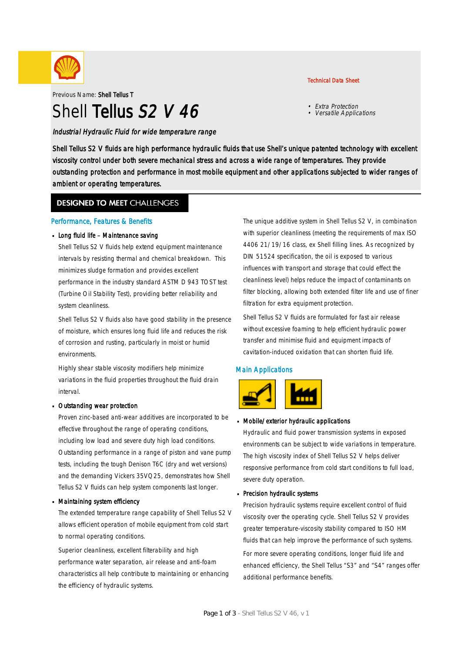

Previous Name: Shell Tellus T

# Shell Tellus S<sub>2</sub> V 46

Industrial Hydraulic Fluid for wide temperature range

#### Technical Data Sheet

- Extra Protection
- Versatile Applications

Shell Tellus S2 V fluids are high performance hydraulic fluids that use Shell's unique patented technology with excellent viscosity control under both severe mechanical stress and across a wide range of temperatures. They provide outstanding protection and performance in most mobile equipment and other applications subjected to wider ranges of ambient or operating temperatures.

### **DESIGNED TO MEET CHALLENGES**

#### Performance, Features & Benefits

#### Long fluid life - Maintenance saving

Shell Tellus S2 V fluids help extend equipment maintenance intervals by resisting thermal and chemical breakdown. This minimizes sludge formation and provides excellent performance in the industry standard ASTM D 943 TOST test (Turbine Oil Stability Test), providing better reliability and system cleanliness.

Shell Tellus S2 V fluids also have good stability in the presence of moisture, which ensures long fluid life and reduces the risk of corrosion and rusting, particularly in moist or humid environments.

Highly shear stable viscosity modifiers help minimize variations in the fluid properties throughout the fluid drain interval.

#### Outstanding wear protection ·

Proven zinc-based anti-wear additives are incorporated to be effective throughout the range of operating conditions, including low load and severe duty high load conditions. Outstanding performance in a range of piston and vane pump tests, including the tough Denison T6C (dry and wet versions) and the demanding Vickers 35VQ25, demonstrates how Shell Tellus S2 V fluids can help system components last longer.

#### Maintaining system efficiency ·

The extended temperature range capability of Shell Tellus S2 V allows efficient operation of mobile equipment from cold start to normal operating conditions.

Superior cleanliness, excellent filterability and high performance water separation, air release and anti-foam characteristics all help contribute to maintaining or enhancing the efficiency of hydraulic systems.

The unique additive system in Shell Tellus S2 V, in combination with superior cleanliness (meeting the requirements of max ISO 4406 21/19/16 class, ex Shell filling lines. As recognized by DIN 51524 specification, the oil is exposed to various influences with transport and storage that could effect the cleanliness level) helps reduce the impact of contaminants on filter blocking, allowing both extended filter life and use of finer filtration for extra equipment protection.

Shell Tellus S2 V fluids are formulated for fast air release without excessive foaming to help efficient hydraulic power transfer and minimise fluid and equipment impacts of cavitation-induced oxidation that can shorten fluid life.

#### Main Applications



## Mobile/exterior hydraulic applications ·

Hydraulic and fluid power transmission systems in exposed environments can be subject to wide variations in temperature. The high viscosity index of Shell Tellus S2 V helps deliver responsive performance from cold start conditions to full load, severe duty operation.

## Precision hydraulic systems ·

Precision hydraulic systems require excellent control of fluid viscosity over the operating cycle. Shell Tellus S2 V provides greater temperature-viscosity stability compared to ISO HM fluids that can help improve the performance of such systems. For more severe operating conditions, longer fluid life and enhanced efficiency, the Shell Tellus "S3" and "S4" ranges offer additional performance benefits.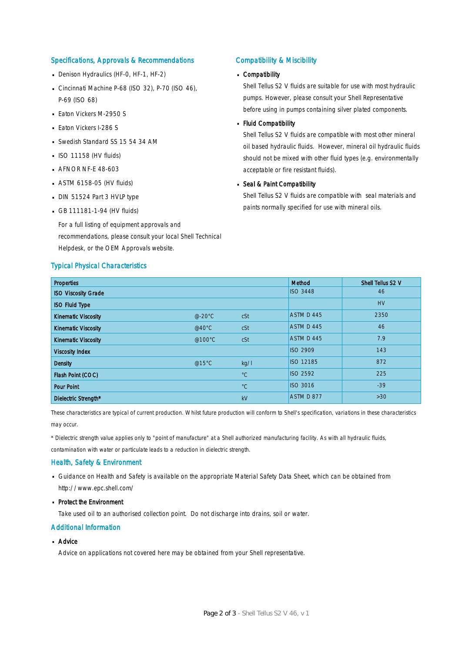#### Specifications, Approvals & Recommendations

- Denison Hydraulics (HF-0, HF-1, HF-2)
- Cincinnati Machine P-68 (ISO 32), P-70 (ISO 46), P-69 (ISO 68)
- **Eaton Vickers M-2950 S**
- **Eaton Vickers I-286 S**
- Swedish Standard SS 15 54 34 AM
- $\blacksquare$  ISO 11158 (HV fluids)
- **AFNOR NF-E 48-603**
- $-$  ASTM 6158-05 (HV fluids)
- DIN 51524 Part 3 HVLP type
- $-$  GB 111181-1-94 (HV fluids)

For a full listing of equipment approvals and recommendations, please consult your local Shell Technical Helpdesk, or the OEM Approvals website.

#### Typical Physical Characteristics

#### Compatibility & Miscibility

## Compatibility ·

Shell Tellus S2 V fluids are suitable for use with most hydraulic pumps. However, please consult your Shell Representative before using in pumps containing silver plated components.

## - Fluid Compatibility

Shell Tellus S2 V fluids are compatible with most other mineral oil based hydraulic fluids. However, mineral oil hydraulic fluids should not be mixed with other fluid types (e.g. environmentally acceptable or fire resistant fluids).

## Seal & Paint Compatibility

Shell Tellus S2 V fluids are compatible with seal materials and paints normally specified for use with mineral oils.

| <b>Properties</b>          |                  |             | Method           | Shell Tellus S2 V |
|----------------------------|------------------|-------------|------------------|-------------------|
| <b>ISO Viscosity Grade</b> |                  |             | <b>ISO 3448</b>  | 46                |
| <b>ISO Fluid Type</b>      |                  |             |                  | <b>HV</b>         |
| <b>Kinematic Viscosity</b> | $@-20°C$         | cSt         | ASTM D 445       | 2350              |
| <b>Kinematic Viscosity</b> | @40 $^{\circ}$ C | cSt         | ASTM D 445       | 46                |
| <b>Kinematic Viscosity</b> | @100°C           | cSt         | ASTM D 445       | 7.9               |
| <b>Viscosity Index</b>     |                  |             | <b>ISO 2909</b>  | 143               |
| <b>Density</b>             | @15°C            | kq/l        | <b>ISO 12185</b> | 872               |
| Flash Point (COC)          |                  | $^{\circ}C$ | <b>ISO 2592</b>  | 225               |
| <b>Pour Point</b>          |                  | $^{\circ}C$ | <b>ISO 3016</b>  | $-39$             |
| Dielectric Strength*       |                  | kV          | ASTM D 877       | $>30$             |

These characteristics are typical of current production. Whilst future production will conform to Shell's specification, variations in these characteristics may occur.

\* Dielectric strength value applies only to "point of manufacture" at a Shell authorized manufacturing facility. As with all hydraulic fluids,

contamination with water or particulate leads to a reduction in dielectric strength.

#### Health, Safety & Environment

■ Guidance on Health and Safety is available on the appropriate Material Safety Data Sheet, which can be obtained from http://www.epc.shell.com/

## • Protect the Environment

Take used oil to an authorised collection point. Do not discharge into drains, soil or water.

#### Additional Information

## ■ Advice

Advice on applications not covered here may be obtained from your Shell representative.